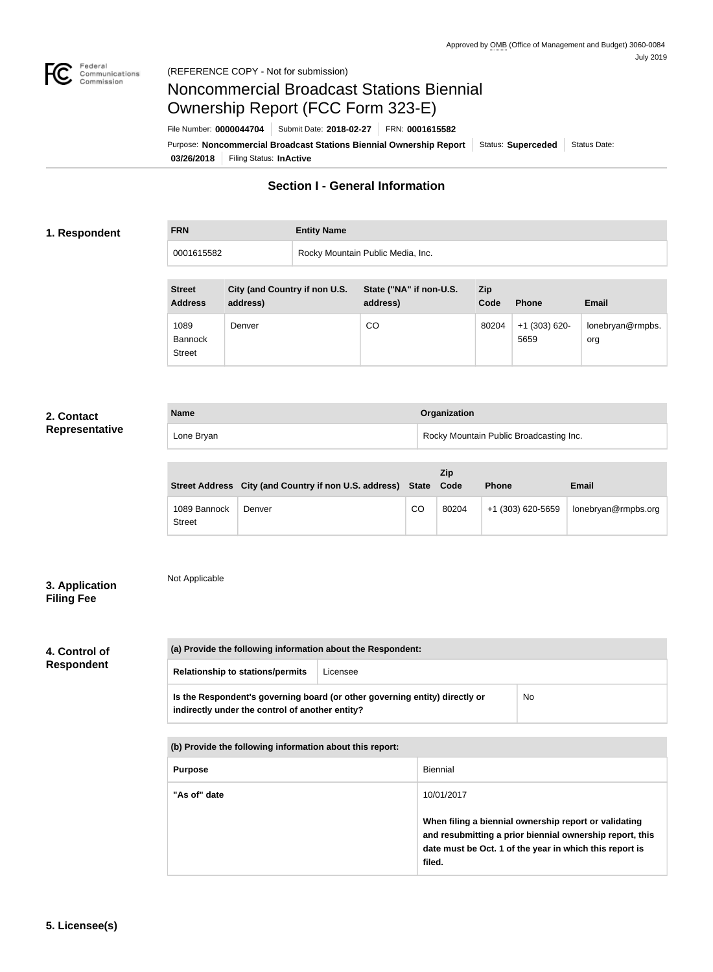

# Noncommercial Broadcast Stations Biennial Ownership Report (FCC Form 323-E)

**03/26/2018** Filing Status: **InActive** Purpose: Noncommercial Broadcast Stations Biennial Ownership Report | Status: Superceded | Status Date: File Number: **0000044704** Submit Date: **2018-02-27** FRN: **0001615582**

# **Section I - General Information**

### **1. Respondent**

**FRN Entity Name**

0001615582 **Rocky Mountain Public Media, Inc.** 

| <b>Street</b><br><b>Address</b>         | City (and Country if non U.S.<br>address) | State ("NA" if non-U.S.<br>address) | Zip<br>Code | <b>Phone</b>            | <b>Email</b>            |
|-----------------------------------------|-------------------------------------------|-------------------------------------|-------------|-------------------------|-------------------------|
| 1089<br><b>Bannock</b><br><b>Street</b> | Denver                                    | CO                                  | 80204       | $+1$ (303) 620-<br>5659 | lonebryan@rmpbs.<br>org |

## **2. Contact Representative**

| <b>Name</b> | <b>Organization</b>                     |
|-------------|-----------------------------------------|
| Lone Bryan  | Rocky Mountain Public Broadcasting Inc. |

|                               | Street Address City (and Country if non U.S. address) State |    | Zip<br>Code | <b>Phone</b>      | <b>Email</b>        |
|-------------------------------|-------------------------------------------------------------|----|-------------|-------------------|---------------------|
| 1089 Bannock<br><b>Street</b> | Denver                                                      | CO | 80204       | +1 (303) 620-5659 | lonebryan@rmpbs.org |

# **3. Application Filing Fee**

# Not Applicable

# **4. Control of**

**Respondent**

| (a) Provide the following information about the Respondent: |          |  |
|-------------------------------------------------------------|----------|--|
| <b>Relationship to stations/permits</b>                     | Licensee |  |

|                                                 | Is the Respondent's governing board (or other governing entity) directly or | No |
|-------------------------------------------------|-----------------------------------------------------------------------------|----|
| indirectly under the control of another entity? |                                                                             |    |

| (b) Provide the following information about this report: |                                                                                                                                                                                        |  |
|----------------------------------------------------------|----------------------------------------------------------------------------------------------------------------------------------------------------------------------------------------|--|
| <b>Purpose</b>                                           | Biennial                                                                                                                                                                               |  |
| "As of" date                                             | 10/01/2017                                                                                                                                                                             |  |
|                                                          | When filing a biennial ownership report or validating<br>and resubmitting a prior biennial ownership report, this<br>date must be Oct. 1 of the year in which this report is<br>filed. |  |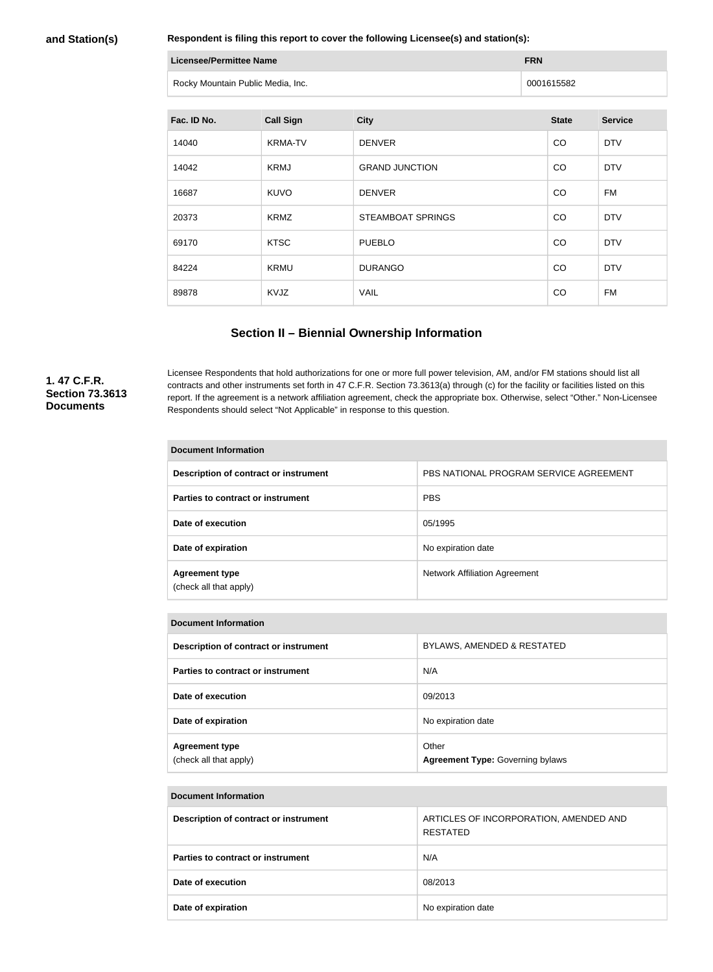#### **and Station(s)**

**Respondent is filing this report to cover the following Licensee(s) and station(s):**

| Licensee/Permittee Name           | <b>FRN</b> |
|-----------------------------------|------------|
| Rocky Mountain Public Media, Inc. | 0001615582 |

| Fac. ID No. | <b>Call Sign</b> | <b>City</b>              | <b>State</b> | <b>Service</b> |
|-------------|------------------|--------------------------|--------------|----------------|
| 14040       | <b>KRMA-TV</b>   | <b>DENVER</b>            | CO           | <b>DTV</b>     |
| 14042       | <b>KRMJ</b>      | <b>GRAND JUNCTION</b>    | CO           | <b>DTV</b>     |
| 16687       | <b>KUVO</b>      | <b>DENVER</b>            | CO           | FM             |
| 20373       | <b>KRMZ</b>      | <b>STEAMBOAT SPRINGS</b> | CO           | <b>DTV</b>     |
| 69170       | <b>KTSC</b>      | <b>PUEBLO</b>            | CO           | <b>DTV</b>     |
| 84224       | <b>KRMU</b>      | <b>DURANGO</b>           | CO           | <b>DTV</b>     |
| 89878       | KVJZ             | <b>VAIL</b>              | CO           | FM             |

# **Section II – Biennial Ownership Information**

### **1. 47 C.F.R. Section 73.3613 Documents**

Licensee Respondents that hold authorizations for one or more full power television, AM, and/or FM stations should list all contracts and other instruments set forth in 47 C.F.R. Section 73.3613(a) through (c) for the facility or facilities listed on this report. If the agreement is a network affiliation agreement, check the appropriate box. Otherwise, select "Other." Non-Licensee Respondents should select "Not Applicable" in response to this question.

#### **Document Information**

| Description of contract or instrument           | PBS NATIONAL PROGRAM SERVICE AGREEMENT |
|-------------------------------------------------|----------------------------------------|
| Parties to contract or instrument               | <b>PBS</b>                             |
| Date of execution                               | 05/1995                                |
| Date of expiration                              | No expiration date                     |
| <b>Agreement type</b><br>(check all that apply) | Network Affiliation Agreement          |

#### **Document Information**

| Description of contract or instrument           | <b>BYLAWS, AMENDED &amp; RESTATED</b>            |
|-------------------------------------------------|--------------------------------------------------|
| Parties to contract or instrument               | N/A                                              |
| Date of execution                               | 09/2013                                          |
| Date of expiration                              | No expiration date                               |
| <b>Agreement type</b><br>(check all that apply) | Other<br><b>Agreement Type: Governing bylaws</b> |

#### **Document Information**

| Description of contract or instrument    | ARTICLES OF INCORPORATION, AMENDED AND<br>RESTATED |
|------------------------------------------|----------------------------------------------------|
| <b>Parties to contract or instrument</b> | N/A                                                |
| Date of execution                        | 08/2013                                            |
| Date of expiration                       | No expiration date                                 |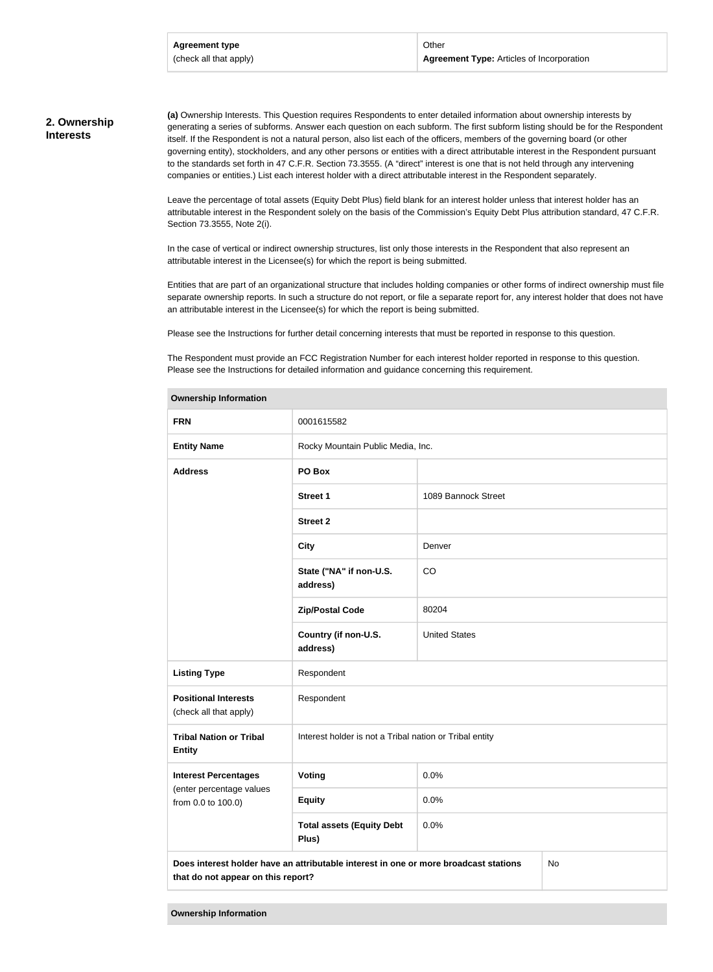#### **2. Ownership Interests**

**(a)** Ownership Interests. This Question requires Respondents to enter detailed information about ownership interests by generating a series of subforms. Answer each question on each subform. The first subform listing should be for the Respondent itself. If the Respondent is not a natural person, also list each of the officers, members of the governing board (or other governing entity), stockholders, and any other persons or entities with a direct attributable interest in the Respondent pursuant to the standards set forth in 47 C.F.R. Section 73.3555. (A "direct" interest is one that is not held through any intervening companies or entities.) List each interest holder with a direct attributable interest in the Respondent separately.

Leave the percentage of total assets (Equity Debt Plus) field blank for an interest holder unless that interest holder has an attributable interest in the Respondent solely on the basis of the Commission's Equity Debt Plus attribution standard, 47 C.F.R. Section 73.3555, Note 2(i).

In the case of vertical or indirect ownership structures, list only those interests in the Respondent that also represent an attributable interest in the Licensee(s) for which the report is being submitted.

Entities that are part of an organizational structure that includes holding companies or other forms of indirect ownership must file separate ownership reports. In such a structure do not report, or file a separate report for, any interest holder that does not have an attributable interest in the Licensee(s) for which the report is being submitted.

Please see the Instructions for further detail concerning interests that must be reported in response to this question.

The Respondent must provide an FCC Registration Number for each interest holder reported in response to this question. Please see the Instructions for detailed information and guidance concerning this requirement.

| <b>FRN</b>                                                                                                                       | 0001615582                                              |                      |  |
|----------------------------------------------------------------------------------------------------------------------------------|---------------------------------------------------------|----------------------|--|
| <b>Entity Name</b>                                                                                                               | Rocky Mountain Public Media, Inc.                       |                      |  |
| <b>Address</b>                                                                                                                   | PO Box                                                  |                      |  |
|                                                                                                                                  | <b>Street 1</b>                                         | 1089 Bannock Street  |  |
|                                                                                                                                  | <b>Street 2</b>                                         |                      |  |
|                                                                                                                                  | <b>City</b>                                             | Denver               |  |
|                                                                                                                                  | State ("NA" if non-U.S.<br>address)                     | CO                   |  |
|                                                                                                                                  | <b>Zip/Postal Code</b>                                  | 80204                |  |
|                                                                                                                                  | Country (if non-U.S.<br>address)                        | <b>United States</b> |  |
| <b>Listing Type</b>                                                                                                              | Respondent                                              |                      |  |
| <b>Positional Interests</b><br>(check all that apply)                                                                            | Respondent                                              |                      |  |
| <b>Tribal Nation or Tribal</b><br><b>Entity</b>                                                                                  | Interest holder is not a Tribal nation or Tribal entity |                      |  |
| <b>Interest Percentages</b>                                                                                                      | Voting                                                  | 0.0%                 |  |
| (enter percentage values<br>from 0.0 to 100.0)                                                                                   | <b>Equity</b>                                           | 0.0%                 |  |
|                                                                                                                                  | <b>Total assets (Equity Debt</b><br>Plus)               | 0.0%                 |  |
| Does interest holder have an attributable interest in one or more broadcast stations<br>No<br>that do not appear on this report? |                                                         |                      |  |

#### **Ownership Information**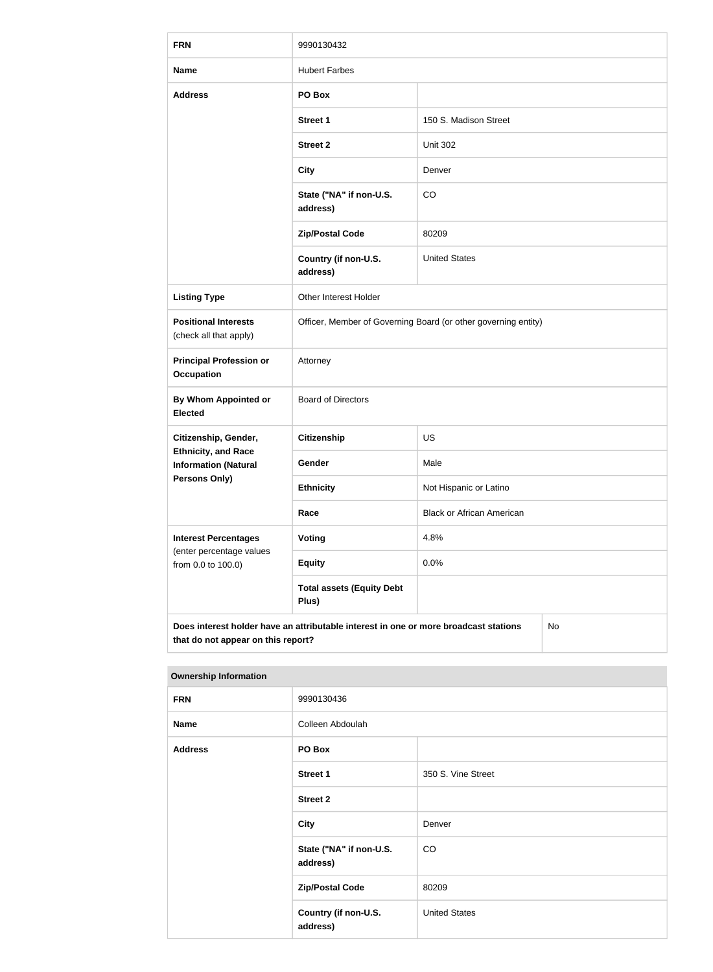| <b>FRN</b>                                                                                                                       | 9990130432                                                     |                                  |  |
|----------------------------------------------------------------------------------------------------------------------------------|----------------------------------------------------------------|----------------------------------|--|
| <b>Name</b>                                                                                                                      | <b>Hubert Farbes</b>                                           |                                  |  |
| <b>Address</b>                                                                                                                   | PO Box                                                         |                                  |  |
|                                                                                                                                  | <b>Street 1</b>                                                | 150 S. Madison Street            |  |
|                                                                                                                                  | <b>Street 2</b>                                                | <b>Unit 302</b>                  |  |
|                                                                                                                                  | <b>City</b>                                                    | Denver                           |  |
|                                                                                                                                  | State ("NA" if non-U.S.<br>address)                            | CO                               |  |
|                                                                                                                                  | <b>Zip/Postal Code</b>                                         | 80209                            |  |
|                                                                                                                                  | Country (if non-U.S.<br>address)                               | <b>United States</b>             |  |
| <b>Listing Type</b>                                                                                                              | Other Interest Holder                                          |                                  |  |
| <b>Positional Interests</b><br>(check all that apply)                                                                            | Officer, Member of Governing Board (or other governing entity) |                                  |  |
| <b>Principal Profession or</b><br><b>Occupation</b>                                                                              | Attorney                                                       |                                  |  |
| <b>By Whom Appointed or</b><br><b>Elected</b>                                                                                    | <b>Board of Directors</b>                                      |                                  |  |
| Citizenship, Gender,                                                                                                             | <b>Citizenship</b>                                             | US                               |  |
| <b>Ethnicity, and Race</b><br><b>Information (Natural</b>                                                                        | Gender                                                         | Male                             |  |
| <b>Persons Only)</b>                                                                                                             | <b>Ethnicity</b>                                               | Not Hispanic or Latino           |  |
|                                                                                                                                  | Race                                                           | <b>Black or African American</b> |  |
| <b>Interest Percentages</b><br>(enter percentage values                                                                          | <b>Voting</b>                                                  | 4.8%                             |  |
| from 0.0 to 100.0)                                                                                                               | <b>Equity</b>                                                  | 0.0%                             |  |
|                                                                                                                                  | <b>Total assets (Equity Debt</b><br>Plus)                      |                                  |  |
| Does interest holder have an attributable interest in one or more broadcast stations<br>No<br>that do not appear on this report? |                                                                |                                  |  |

| <b>FRN</b>     | 9990130436                          |                      |
|----------------|-------------------------------------|----------------------|
| <b>Name</b>    | Colleen Abdoulah                    |                      |
| <b>Address</b> | PO Box                              |                      |
|                | Street 1                            | 350 S. Vine Street   |
|                | <b>Street 2</b>                     |                      |
|                | <b>City</b>                         | Denver               |
|                | State ("NA" if non-U.S.<br>address) | CO                   |
|                | <b>Zip/Postal Code</b>              | 80209                |
|                | Country (if non-U.S.<br>address)    | <b>United States</b> |
|                |                                     |                      |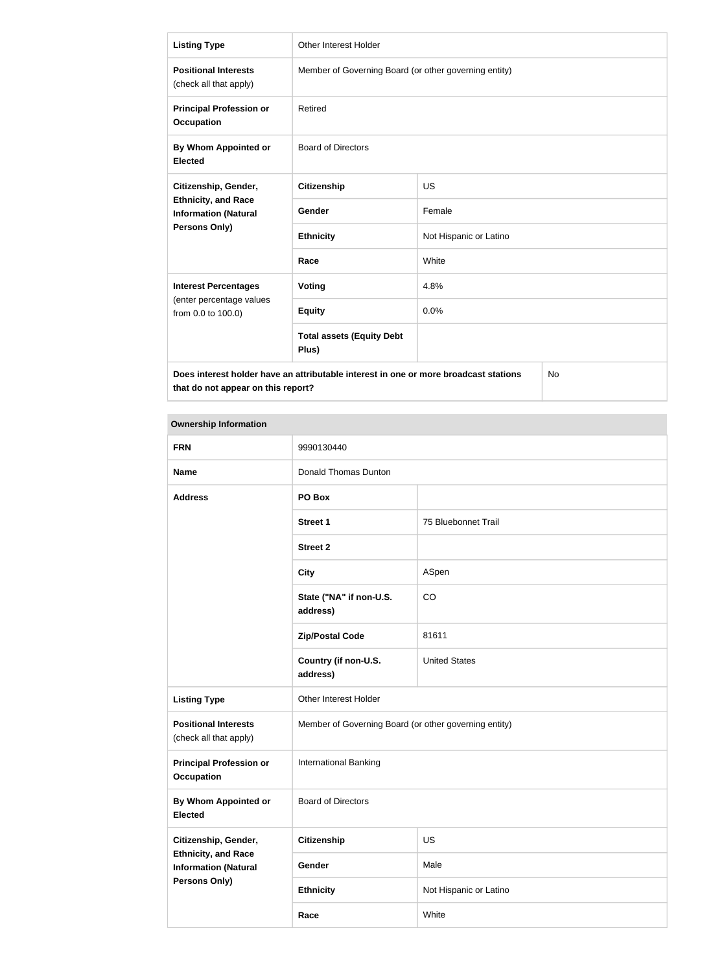| <b>Listing Type</b>                                                                               | <b>Other Interest Holder</b>                          |                        |  |
|---------------------------------------------------------------------------------------------------|-------------------------------------------------------|------------------------|--|
| <b>Positional Interests</b><br>(check all that apply)                                             | Member of Governing Board (or other governing entity) |                        |  |
| <b>Principal Profession or</b><br><b>Occupation</b>                                               | Retired                                               |                        |  |
| By Whom Appointed or<br><b>Elected</b>                                                            | <b>Board of Directors</b>                             |                        |  |
| Citizenship, Gender,                                                                              | <b>Citizenship</b>                                    | <b>US</b>              |  |
| <b>Ethnicity, and Race</b><br><b>Information (Natural</b>                                         | Gender                                                | Female                 |  |
| Persons Only)                                                                                     | <b>Ethnicity</b>                                      | Not Hispanic or Latino |  |
|                                                                                                   | Race                                                  | White                  |  |
| <b>Interest Percentages</b>                                                                       | Voting                                                | 4.8%                   |  |
| (enter percentage values<br>from 0.0 to 100.0)                                                    | <b>Equity</b>                                         | 0.0%                   |  |
|                                                                                                   | <b>Total assets (Equity Debt</b><br>Plus)             |                        |  |
| Does interest holder have an attributable interest in one or more broadcast stations<br><b>No</b> |                                                       |                        |  |

| <b>Ownership Information</b>                              |                                                       |                        |
|-----------------------------------------------------------|-------------------------------------------------------|------------------------|
| <b>FRN</b>                                                | 9990130440                                            |                        |
| <b>Name</b>                                               | Donald Thomas Dunton                                  |                        |
| <b>Address</b>                                            | PO Box                                                |                        |
|                                                           | <b>Street 1</b>                                       | 75 Bluebonnet Trail    |
|                                                           | <b>Street 2</b>                                       |                        |
|                                                           | <b>City</b>                                           | ASpen                  |
|                                                           | State ("NA" if non-U.S.<br>address)                   | CO                     |
|                                                           | <b>Zip/Postal Code</b>                                | 81611                  |
|                                                           | Country (if non-U.S.<br>address)                      | <b>United States</b>   |
| <b>Listing Type</b>                                       | Other Interest Holder                                 |                        |
| <b>Positional Interests</b><br>(check all that apply)     | Member of Governing Board (or other governing entity) |                        |
| <b>Principal Profession or</b><br><b>Occupation</b>       | International Banking                                 |                        |
| <b>By Whom Appointed or</b><br><b>Elected</b>             | <b>Board of Directors</b>                             |                        |
| Citizenship, Gender,                                      | <b>Citizenship</b>                                    | <b>US</b>              |
| <b>Ethnicity, and Race</b><br><b>Information (Natural</b> | Gender                                                | Male                   |
| <b>Persons Only)</b>                                      | <b>Ethnicity</b>                                      | Not Hispanic or Latino |
|                                                           | Race                                                  | White                  |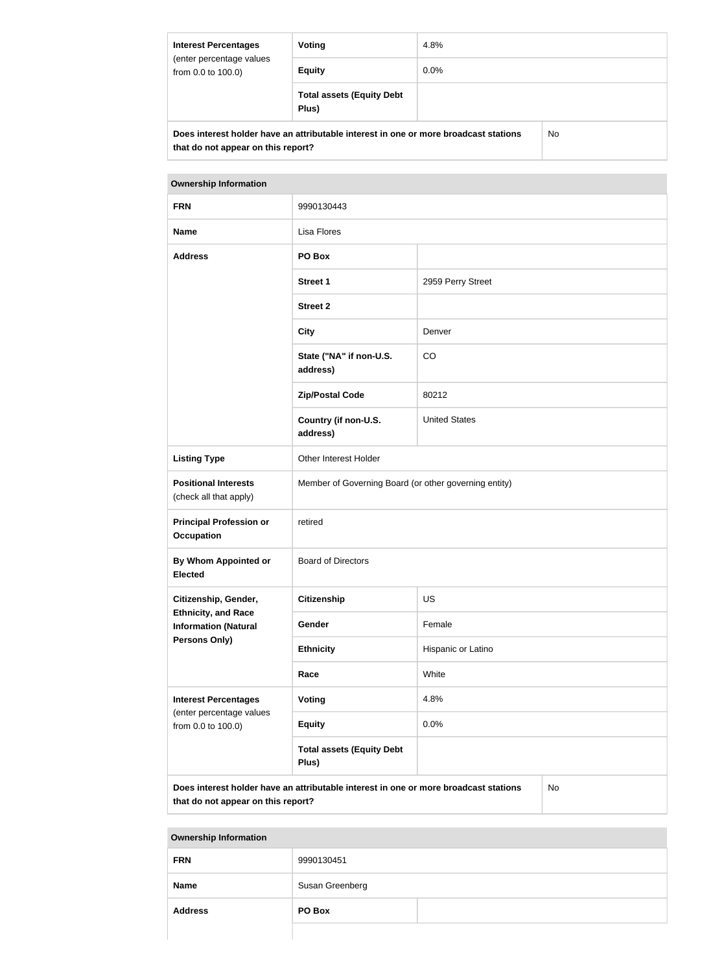| <b>Interest Percentages</b><br>(enter percentage values<br>from 0.0 to 100.0) | Voting                                                                               | 4.8%    |    |
|-------------------------------------------------------------------------------|--------------------------------------------------------------------------------------|---------|----|
|                                                                               | <b>Equity</b>                                                                        | $0.0\%$ |    |
|                                                                               | <b>Total assets (Equity Debt</b><br>Plus)                                            |         |    |
|                                                                               | Does interest holder have an attributable interest in one or more broadcast stations |         | No |

| lcast stations |  |
|----------------|--|
|                |  |

| <b>Ownership Information</b>                                                               |                                                       |                      |  |
|--------------------------------------------------------------------------------------------|-------------------------------------------------------|----------------------|--|
| <b>FRN</b>                                                                                 | 9990130443                                            |                      |  |
| <b>Name</b>                                                                                | <b>Lisa Flores</b>                                    |                      |  |
| <b>Address</b>                                                                             | PO Box                                                |                      |  |
|                                                                                            | <b>Street 1</b>                                       | 2959 Perry Street    |  |
|                                                                                            | <b>Street 2</b>                                       |                      |  |
|                                                                                            | <b>City</b>                                           | Denver               |  |
|                                                                                            | State ("NA" if non-U.S.<br>address)                   | CO                   |  |
|                                                                                            | <b>Zip/Postal Code</b>                                | 80212                |  |
|                                                                                            | Country (if non-U.S.<br>address)                      | <b>United States</b> |  |
| <b>Listing Type</b>                                                                        | Other Interest Holder                                 |                      |  |
| <b>Positional Interests</b><br>(check all that apply)                                      | Member of Governing Board (or other governing entity) |                      |  |
| <b>Principal Profession or</b><br><b>Occupation</b>                                        | retired                                               |                      |  |
| <b>By Whom Appointed or</b><br><b>Elected</b>                                              | <b>Board of Directors</b>                             |                      |  |
| Citizenship, Gender,                                                                       | <b>Citizenship</b>                                    | <b>US</b>            |  |
| <b>Ethnicity, and Race</b><br><b>Information (Natural</b>                                  | Gender                                                | Female               |  |
| <b>Persons Only)</b>                                                                       | <b>Ethnicity</b>                                      | Hispanic or Latino   |  |
|                                                                                            | Race                                                  | White                |  |
| <b>Interest Percentages</b>                                                                | Voting                                                | 4.8%                 |  |
| (enter percentage values<br>from 0.0 to 100.0)                                             | <b>Equity</b>                                         | 0.0%                 |  |
|                                                                                            | <b>Total assets (Equity Debt</b><br>Plus)             |                      |  |
| Does interest holder have an attributable interest in one or more broadcast stations<br>No |                                                       |                      |  |

**that do not appear on this report?**

| <b>FRN</b>     | 9990130451      |  |
|----------------|-----------------|--|
| <b>Name</b>    | Susan Greenberg |  |
| <b>Address</b> | PO Box          |  |
|                |                 |  |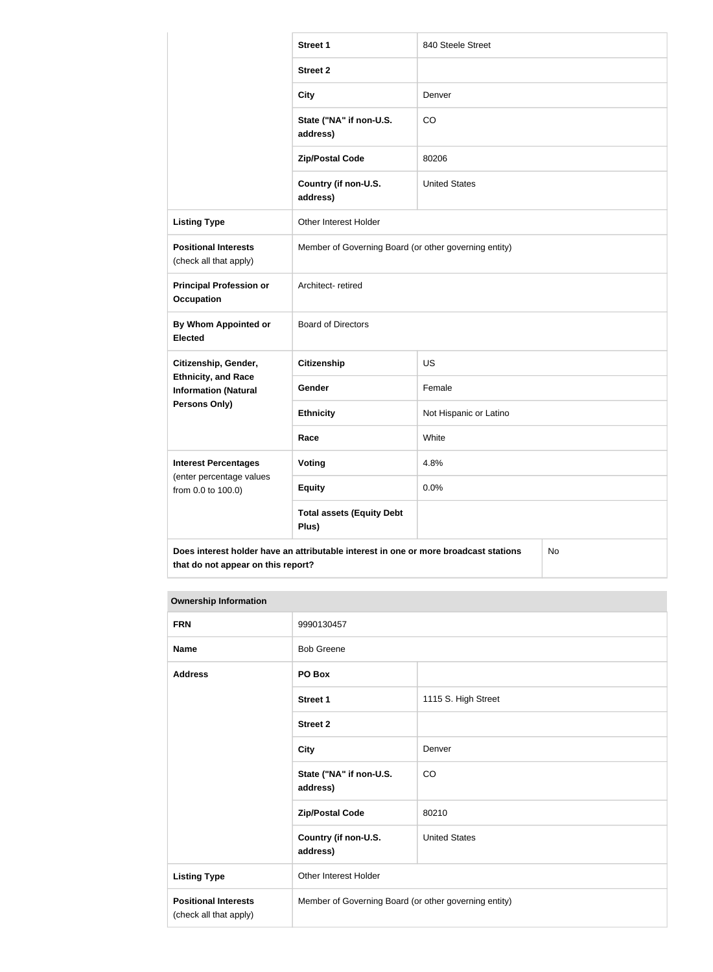|                                                           | <b>Street 1</b>                                                                      | 840 Steele Street      |    |
|-----------------------------------------------------------|--------------------------------------------------------------------------------------|------------------------|----|
|                                                           | <b>Street 2</b>                                                                      |                        |    |
|                                                           | <b>City</b>                                                                          | Denver                 |    |
|                                                           | State ("NA" if non-U.S.<br>address)                                                  | CO                     |    |
|                                                           | <b>Zip/Postal Code</b>                                                               | 80206                  |    |
|                                                           | Country (if non-U.S.<br>address)                                                     | <b>United States</b>   |    |
| <b>Listing Type</b>                                       | Other Interest Holder                                                                |                        |    |
| <b>Positional Interests</b><br>(check all that apply)     | Member of Governing Board (or other governing entity)                                |                        |    |
| <b>Principal Profession or</b><br><b>Occupation</b>       | Architect-retired                                                                    |                        |    |
| <b>By Whom Appointed or</b><br><b>Elected</b>             | <b>Board of Directors</b>                                                            |                        |    |
| Citizenship, Gender,                                      | <b>Citizenship</b>                                                                   | <b>US</b>              |    |
| <b>Ethnicity, and Race</b><br><b>Information (Natural</b> | Gender                                                                               | Female                 |    |
| <b>Persons Only)</b>                                      | <b>Ethnicity</b>                                                                     | Not Hispanic or Latino |    |
|                                                           | Race                                                                                 | White                  |    |
| <b>Interest Percentages</b>                               | Voting                                                                               | 4.8%                   |    |
| (enter percentage values<br>from 0.0 to 100.0)            | <b>Equity</b>                                                                        | 0.0%                   |    |
|                                                           | <b>Total assets (Equity Debt</b><br>Plus)                                            |                        |    |
|                                                           | Does interest holder have an attributable interest in one or more broadcast stations |                        | No |

| <b>FRN</b>                                            | 9990130457                                            |                      |
|-------------------------------------------------------|-------------------------------------------------------|----------------------|
| <b>Name</b>                                           | <b>Bob Greene</b>                                     |                      |
| <b>Address</b>                                        | PO Box                                                |                      |
|                                                       | Street 1                                              | 1115 S. High Street  |
|                                                       | <b>Street 2</b>                                       |                      |
|                                                       | <b>City</b>                                           | Denver               |
|                                                       | State ("NA" if non-U.S.<br>address)                   | CO                   |
|                                                       | <b>Zip/Postal Code</b>                                | 80210                |
|                                                       | Country (if non-U.S.<br>address)                      | <b>United States</b> |
| <b>Listing Type</b>                                   | Other Interest Holder                                 |                      |
| <b>Positional Interests</b><br>(check all that apply) | Member of Governing Board (or other governing entity) |                      |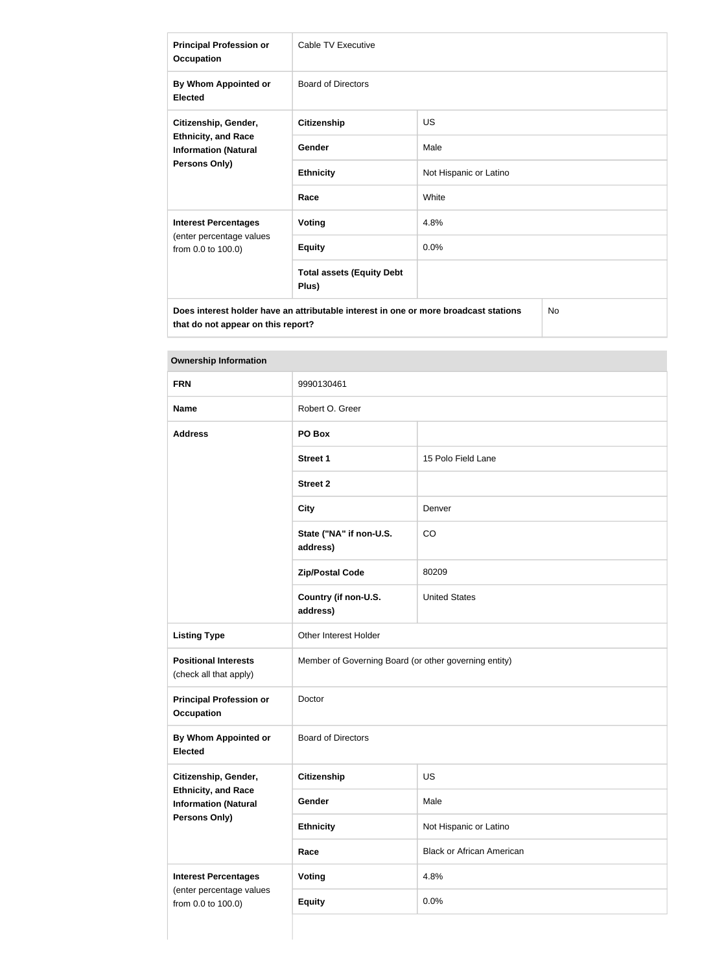| <b>Principal Profession or</b><br><b>Occupation</b>                                                       | Cable TV Executive                        |                        |  |
|-----------------------------------------------------------------------------------------------------------|-------------------------------------------|------------------------|--|
| By Whom Appointed or<br><b>Elected</b>                                                                    | <b>Board of Directors</b>                 |                        |  |
| Citizenship, Gender,<br><b>Ethnicity, and Race</b><br><b>Information (Natural</b><br><b>Persons Only)</b> | <b>Citizenship</b>                        | <b>US</b>              |  |
|                                                                                                           | Gender                                    | Male                   |  |
|                                                                                                           | <b>Ethnicity</b>                          | Not Hispanic or Latino |  |
|                                                                                                           | Race                                      | White                  |  |
| <b>Interest Percentages</b>                                                                               | <b>Voting</b>                             | 4.8%                   |  |
| (enter percentage values<br>from 0.0 to 100.0)                                                            | <b>Equity</b>                             | 0.0%                   |  |
|                                                                                                           | <b>Total assets (Equity Debt</b><br>Plus) |                        |  |
| <b>No</b><br>Does interest holder have an attributable interest in one or more broadcast stations         |                                           |                        |  |

| <b>FRN</b>                                                | 9990130461                                            |                                  |
|-----------------------------------------------------------|-------------------------------------------------------|----------------------------------|
|                                                           |                                                       |                                  |
| <b>Name</b>                                               | Robert O. Greer                                       |                                  |
| <b>Address</b>                                            | PO Box                                                |                                  |
|                                                           | <b>Street 1</b>                                       | 15 Polo Field Lane               |
|                                                           | <b>Street 2</b>                                       |                                  |
|                                                           | <b>City</b>                                           | Denver                           |
|                                                           | State ("NA" if non-U.S.<br>address)                   | CO                               |
|                                                           | <b>Zip/Postal Code</b>                                | 80209                            |
|                                                           | Country (if non-U.S.<br>address)                      | <b>United States</b>             |
| <b>Listing Type</b>                                       | Other Interest Holder                                 |                                  |
| <b>Positional Interests</b><br>(check all that apply)     | Member of Governing Board (or other governing entity) |                                  |
| <b>Principal Profession or</b><br><b>Occupation</b>       | Doctor                                                |                                  |
| By Whom Appointed or<br><b>Elected</b>                    | <b>Board of Directors</b>                             |                                  |
| Citizenship, Gender,                                      | <b>Citizenship</b>                                    | US                               |
| <b>Ethnicity, and Race</b><br><b>Information (Natural</b> | Gender                                                | Male                             |
| Persons Only)                                             | <b>Ethnicity</b>                                      | Not Hispanic or Latino           |
|                                                           | Race                                                  | <b>Black or African American</b> |
| <b>Interest Percentages</b>                               | <b>Voting</b>                                         | 4.8%                             |
| (enter percentage values<br>from 0.0 to 100.0)            | <b>Equity</b>                                         | 0.0%                             |
|                                                           |                                                       |                                  |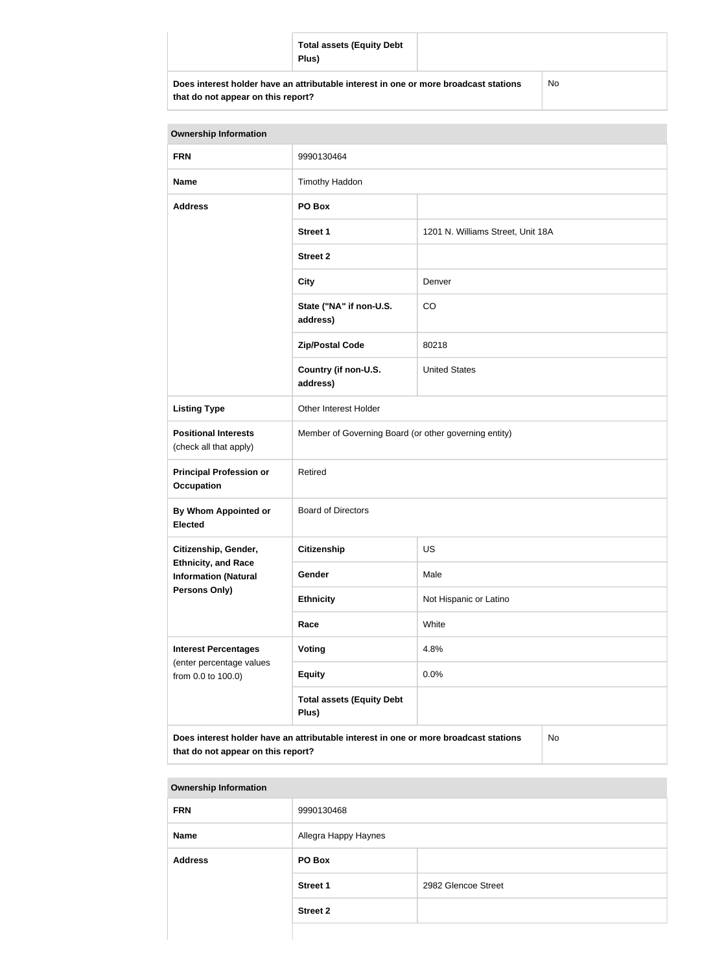|                                    | <b>Total assets (Equity Debt</b><br>Plus)                                            |    |
|------------------------------------|--------------------------------------------------------------------------------------|----|
| that do not appear on this report? | Does interest holder have an attributable interest in one or more broadcast stations | No |

| <b>Ownership Information</b>                                                                                                     |                                                       |                                   |  |
|----------------------------------------------------------------------------------------------------------------------------------|-------------------------------------------------------|-----------------------------------|--|
| <b>FRN</b>                                                                                                                       | 9990130464                                            |                                   |  |
| <b>Name</b>                                                                                                                      | Timothy Haddon                                        |                                   |  |
| <b>Address</b>                                                                                                                   | PO Box                                                |                                   |  |
|                                                                                                                                  | <b>Street 1</b>                                       | 1201 N. Williams Street, Unit 18A |  |
|                                                                                                                                  | <b>Street 2</b>                                       |                                   |  |
|                                                                                                                                  | <b>City</b>                                           | Denver                            |  |
|                                                                                                                                  | State ("NA" if non-U.S.<br>address)                   | CO                                |  |
|                                                                                                                                  | <b>Zip/Postal Code</b>                                | 80218                             |  |
|                                                                                                                                  | Country (if non-U.S.<br>address)                      | <b>United States</b>              |  |
| <b>Listing Type</b>                                                                                                              | Other Interest Holder                                 |                                   |  |
| <b>Positional Interests</b><br>(check all that apply)                                                                            | Member of Governing Board (or other governing entity) |                                   |  |
| <b>Principal Profession or</b><br><b>Occupation</b>                                                                              | Retired                                               |                                   |  |
| By Whom Appointed or<br><b>Elected</b>                                                                                           | <b>Board of Directors</b>                             |                                   |  |
| Citizenship, Gender,                                                                                                             | <b>Citizenship</b>                                    | <b>US</b>                         |  |
| <b>Ethnicity, and Race</b><br><b>Information (Natural</b>                                                                        | Gender                                                | Male                              |  |
| <b>Persons Only)</b>                                                                                                             | <b>Ethnicity</b>                                      | Not Hispanic or Latino            |  |
|                                                                                                                                  | Race                                                  | White                             |  |
| <b>Interest Percentages</b><br>(enter percentage values                                                                          | <b>Voting</b>                                         | 4.8%                              |  |
| from 0.0 to 100.0)                                                                                                               | <b>Equity</b>                                         | 0.0%                              |  |
|                                                                                                                                  | <b>Total assets (Equity Debt</b><br>Plus)             |                                   |  |
| Does interest holder have an attributable interest in one or more broadcast stations<br>No<br>that do not appear on this report? |                                                       |                                   |  |

| <b>Ownership Information</b> |                      |                     |  |
|------------------------------|----------------------|---------------------|--|
| <b>FRN</b>                   | 9990130468           |                     |  |
| <b>Name</b>                  | Allegra Happy Haynes |                     |  |
| <b>Address</b>               | PO Box               |                     |  |
|                              | <b>Street 1</b>      | 2982 Glencoe Street |  |
|                              | <b>Street 2</b>      |                     |  |
|                              |                      |                     |  |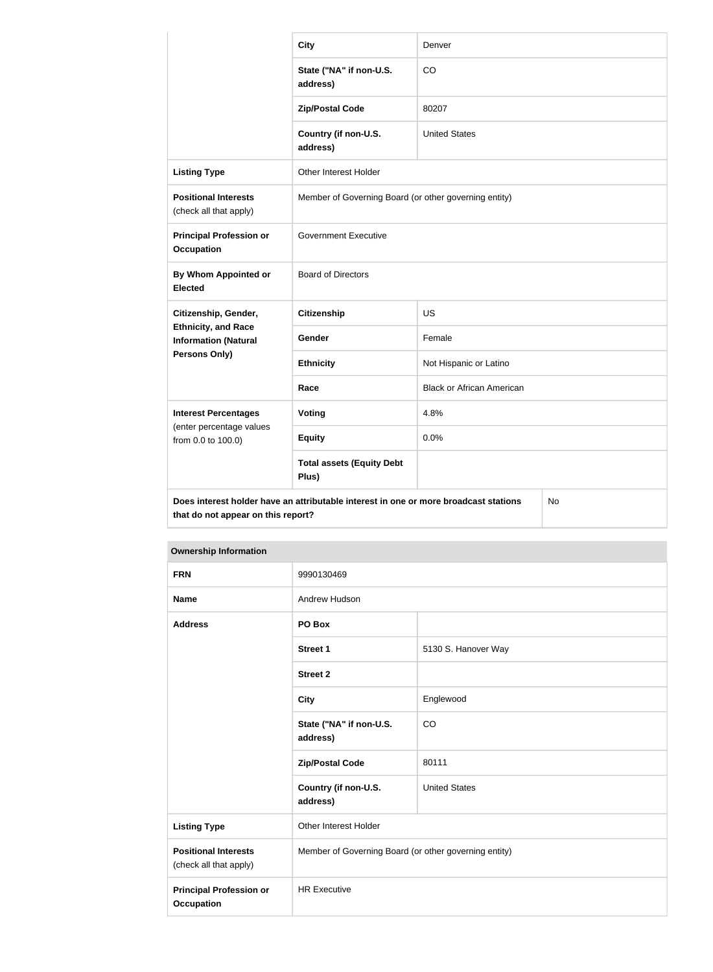|                                                           | <b>City</b>                                                                          | Denver                           |  |
|-----------------------------------------------------------|--------------------------------------------------------------------------------------|----------------------------------|--|
|                                                           | State ("NA" if non-U.S.<br>address)                                                  | CO                               |  |
|                                                           | <b>Zip/Postal Code</b>                                                               | 80207                            |  |
|                                                           | Country (if non-U.S.<br>address)                                                     | <b>United States</b>             |  |
| <b>Listing Type</b>                                       | Other Interest Holder                                                                |                                  |  |
| <b>Positional Interests</b><br>(check all that apply)     | Member of Governing Board (or other governing entity)                                |                                  |  |
| <b>Principal Profession or</b><br><b>Occupation</b>       | <b>Government Executive</b>                                                          |                                  |  |
| <b>By Whom Appointed or</b><br><b>Elected</b>             | <b>Board of Directors</b>                                                            |                                  |  |
| Citizenship, Gender,                                      | <b>Citizenship</b>                                                                   | <b>US</b>                        |  |
| <b>Ethnicity, and Race</b><br><b>Information (Natural</b> | Gender                                                                               | Female                           |  |
| Persons Only)                                             | <b>Ethnicity</b>                                                                     | Not Hispanic or Latino           |  |
|                                                           | Race                                                                                 | <b>Black or African American</b> |  |
| <b>Interest Percentages</b>                               | <b>Voting</b>                                                                        | 4.8%                             |  |
| (enter percentage values<br>from 0.0 to 100.0)            | <b>Equity</b>                                                                        | 0.0%                             |  |
|                                                           | <b>Total assets (Equity Debt</b><br>Plus)                                            |                                  |  |
| that do not appear on this report?                        | Does interest holder have an attributable interest in one or more broadcast stations | No                               |  |

| <b>Ownership Information</b>                          |                                                       |                      |  |
|-------------------------------------------------------|-------------------------------------------------------|----------------------|--|
| <b>FRN</b>                                            | 9990130469                                            |                      |  |
| <b>Name</b>                                           | Andrew Hudson                                         |                      |  |
| <b>Address</b>                                        | PO Box                                                |                      |  |
|                                                       | <b>Street 1</b>                                       | 5130 S. Hanover Way  |  |
|                                                       | <b>Street 2</b>                                       |                      |  |
|                                                       | <b>City</b>                                           | Englewood            |  |
|                                                       | State ("NA" if non-U.S.<br>address)                   | CO                   |  |
|                                                       | <b>Zip/Postal Code</b>                                | 80111                |  |
|                                                       | Country (if non-U.S.<br>address)                      | <b>United States</b> |  |
| <b>Listing Type</b>                                   | Other Interest Holder                                 |                      |  |
| <b>Positional Interests</b><br>(check all that apply) | Member of Governing Board (or other governing entity) |                      |  |
| <b>Principal Profession or</b><br><b>Occupation</b>   | <b>HR Executive</b>                                   |                      |  |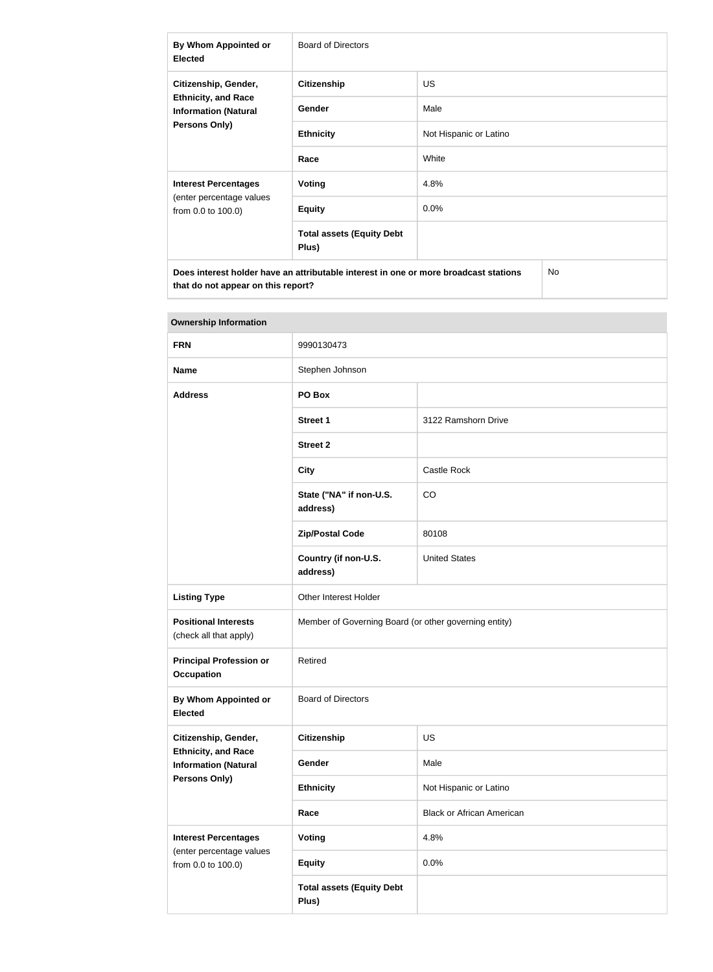| By Whom Appointed or<br><b>Elected</b>                                                                    | Board of Directors                        |                        |
|-----------------------------------------------------------------------------------------------------------|-------------------------------------------|------------------------|
| Citizenship, Gender,<br><b>Ethnicity, and Race</b><br><b>Information (Natural</b><br><b>Persons Only)</b> | <b>Citizenship</b>                        | <b>US</b>              |
|                                                                                                           | <b>Gender</b>                             | Male                   |
|                                                                                                           | <b>Ethnicity</b>                          | Not Hispanic or Latino |
|                                                                                                           | Race                                      | White                  |
| <b>Interest Percentages</b><br>(enter percentage values<br>from 0.0 to 100.0)                             | Voting                                    | 4.8%                   |
|                                                                                                           | <b>Equity</b>                             | $0.0\%$                |
|                                                                                                           | <b>Total assets (Equity Debt</b><br>Plus) |                        |
| Does interest holder have an attributable interest in one or more broadcast stations<br>No                |                                           |                        |

| <b>Ownership Information</b>                              |                                                       |                                  |  |
|-----------------------------------------------------------|-------------------------------------------------------|----------------------------------|--|
| <b>FRN</b>                                                | 9990130473                                            |                                  |  |
| <b>Name</b>                                               | Stephen Johnson                                       |                                  |  |
| <b>Address</b>                                            | PO Box                                                |                                  |  |
|                                                           | Street 1                                              | 3122 Ramshorn Drive              |  |
|                                                           | <b>Street 2</b>                                       |                                  |  |
|                                                           | <b>City</b>                                           | Castle Rock                      |  |
|                                                           | State ("NA" if non-U.S.<br>address)                   | CO                               |  |
|                                                           | <b>Zip/Postal Code</b>                                | 80108                            |  |
|                                                           | Country (if non-U.S.<br>address)                      | <b>United States</b>             |  |
| <b>Listing Type</b>                                       | Other Interest Holder                                 |                                  |  |
| <b>Positional Interests</b><br>(check all that apply)     | Member of Governing Board (or other governing entity) |                                  |  |
| <b>Principal Profession or</b><br><b>Occupation</b>       | Retired                                               |                                  |  |
| <b>By Whom Appointed or</b><br><b>Elected</b>             | <b>Board of Directors</b>                             |                                  |  |
| Citizenship, Gender,                                      | <b>Citizenship</b>                                    | <b>US</b>                        |  |
| <b>Ethnicity, and Race</b><br><b>Information (Natural</b> | Gender                                                | Male                             |  |
| Persons Only)                                             | <b>Ethnicity</b>                                      | Not Hispanic or Latino           |  |
|                                                           | Race                                                  | <b>Black or African American</b> |  |
| <b>Interest Percentages</b>                               | <b>Voting</b>                                         | 4.8%                             |  |
| (enter percentage values<br>from 0.0 to 100.0)            | <b>Equity</b>                                         | 0.0%                             |  |
|                                                           | <b>Total assets (Equity Debt</b><br>Plus)             |                                  |  |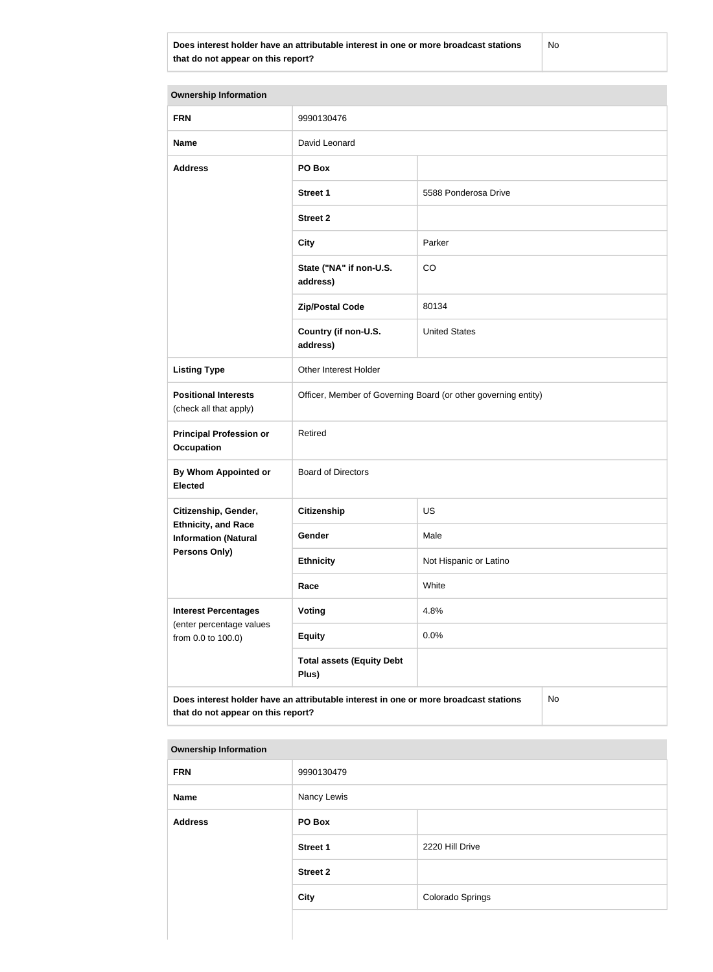**Does interest holder have an attributable interest in one or more broadcast stations that do not appear on this report?**

No

| <b>Ownership Information</b>                              |                                                                                      |                        |  |  |
|-----------------------------------------------------------|--------------------------------------------------------------------------------------|------------------------|--|--|
| <b>FRN</b>                                                | 9990130476                                                                           |                        |  |  |
| <b>Name</b>                                               | David Leonard                                                                        |                        |  |  |
| <b>Address</b>                                            | PO Box                                                                               |                        |  |  |
|                                                           | <b>Street 1</b>                                                                      | 5588 Ponderosa Drive   |  |  |
|                                                           | <b>Street 2</b>                                                                      |                        |  |  |
|                                                           | <b>City</b>                                                                          | Parker                 |  |  |
|                                                           | State ("NA" if non-U.S.<br>address)                                                  | CO                     |  |  |
|                                                           | <b>Zip/Postal Code</b>                                                               | 80134                  |  |  |
|                                                           | Country (if non-U.S.<br>address)                                                     | <b>United States</b>   |  |  |
| <b>Listing Type</b>                                       | Other Interest Holder                                                                |                        |  |  |
| <b>Positional Interests</b><br>(check all that apply)     | Officer, Member of Governing Board (or other governing entity)                       |                        |  |  |
| <b>Principal Profession or</b><br><b>Occupation</b>       | Retired                                                                              |                        |  |  |
| By Whom Appointed or<br><b>Elected</b>                    | <b>Board of Directors</b>                                                            |                        |  |  |
| Citizenship, Gender,                                      | Citizenship                                                                          | US                     |  |  |
| <b>Ethnicity, and Race</b><br><b>Information (Natural</b> | Gender                                                                               | Male                   |  |  |
| <b>Persons Only)</b>                                      | <b>Ethnicity</b>                                                                     | Not Hispanic or Latino |  |  |
|                                                           | Race                                                                                 | White                  |  |  |
| <b>Interest Percentages</b>                               | <b>Voting</b>                                                                        | 4.8%                   |  |  |
| (enter percentage values<br>from 0.0 to 100.0)            | <b>Equity</b>                                                                        | 0.0%                   |  |  |
|                                                           | <b>Total assets (Equity Debt</b><br>Plus)                                            |                        |  |  |
| that do not appear on this report?                        | Does interest holder have an attributable interest in one or more broadcast stations | No                     |  |  |

| <b>FRN</b>     | 9990130479      |                  |
|----------------|-----------------|------------------|
| Name           | Nancy Lewis     |                  |
| <b>Address</b> | PO Box          |                  |
|                | <b>Street 1</b> | 2220 Hill Drive  |
|                | <b>Street 2</b> |                  |
|                | <b>City</b>     | Colorado Springs |
|                |                 |                  |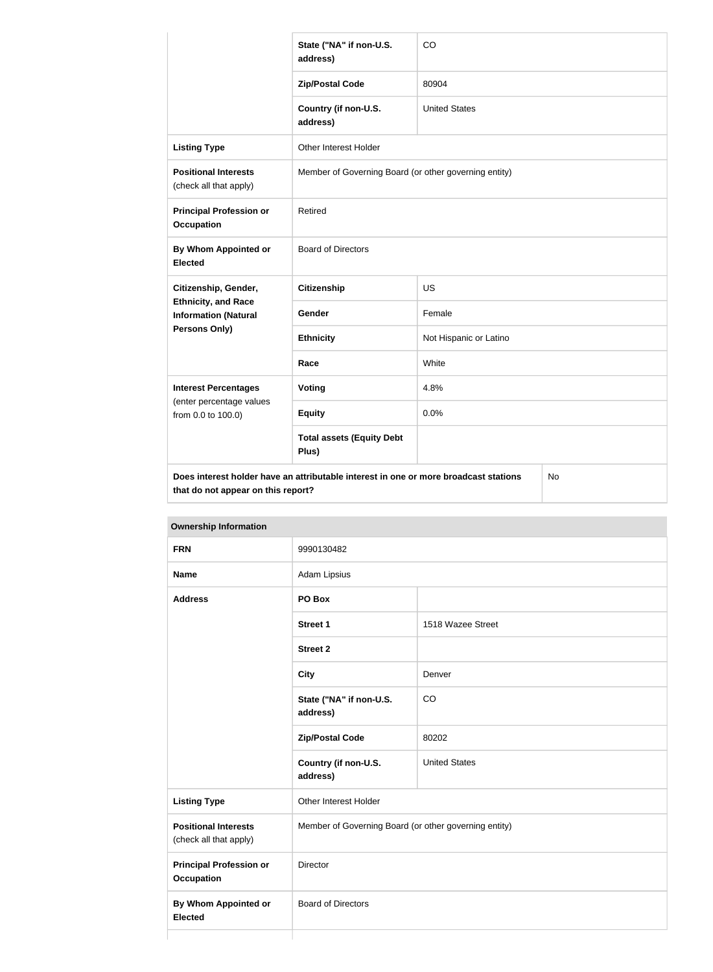|                                                           | State ("NA" if non-U.S.<br>address)                                                  | CO                     |    |
|-----------------------------------------------------------|--------------------------------------------------------------------------------------|------------------------|----|
|                                                           | <b>Zip/Postal Code</b>                                                               | 80904                  |    |
|                                                           | Country (if non-U.S.<br>address)                                                     | <b>United States</b>   |    |
| <b>Listing Type</b>                                       | Other Interest Holder                                                                |                        |    |
| <b>Positional Interests</b><br>(check all that apply)     | Member of Governing Board (or other governing entity)                                |                        |    |
| <b>Principal Profession or</b><br><b>Occupation</b>       | Retired                                                                              |                        |    |
| <b>By Whom Appointed or</b><br><b>Elected</b>             | <b>Board of Directors</b>                                                            |                        |    |
| Citizenship, Gender,                                      | <b>Citizenship</b>                                                                   | US                     |    |
| <b>Ethnicity, and Race</b><br><b>Information (Natural</b> | Gender                                                                               | Female                 |    |
| <b>Persons Only)</b>                                      | <b>Ethnicity</b>                                                                     | Not Hispanic or Latino |    |
|                                                           | Race                                                                                 | White                  |    |
| <b>Interest Percentages</b>                               | Voting                                                                               | 4.8%                   |    |
| (enter percentage values<br>from 0.0 to 100.0)            | <b>Equity</b>                                                                        | 0.0%                   |    |
|                                                           | <b>Total assets (Equity Debt</b><br>Plus)                                            |                        |    |
| that do not appear on this report?                        | Does interest holder have an attributable interest in one or more broadcast stations |                        | No |

**Ownership Information FRN** 9990130482 **Name** Adam Lipsius **Address PO Box Street 1** 1518 Wazee Street **Street 2 City** Denver **State ("NA" if non-U.S. address)** CO **Zip/Postal Code** 80202 **Country (if non-U.S. address)** United States **Listing Type Communist Communist Property** Other Interest Holder **Positional Interests** (check all that apply) Member of Governing Board (or other governing entity) **Principal Profession or Occupation** Director **By Whom Appointed or Elected** Board of Directors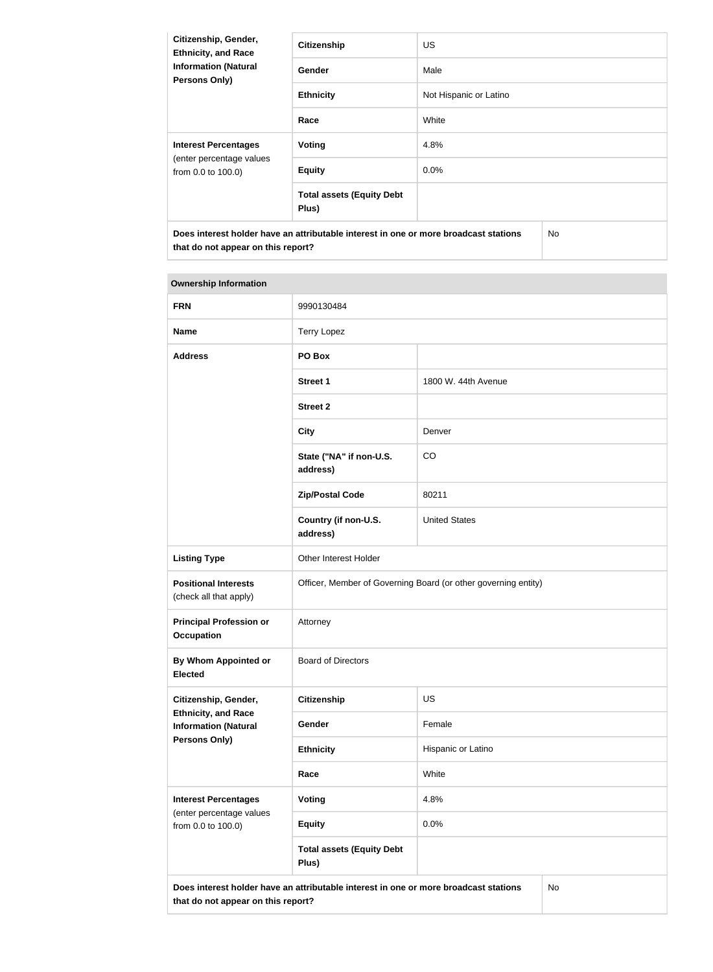| Citizenship, Gender,<br><b>Ethnicity, and Race</b><br><b>Information (Natural</b><br>Persons Only) | <b>Citizenship</b>                        | <b>US</b>              |  |
|----------------------------------------------------------------------------------------------------|-------------------------------------------|------------------------|--|
|                                                                                                    | Gender                                    | Male                   |  |
|                                                                                                    | <b>Ethnicity</b>                          | Not Hispanic or Latino |  |
|                                                                                                    | Race                                      | White                  |  |
| <b>Interest Percentages</b><br>(enter percentage values<br>from 0.0 to 100.0)                      | <b>Voting</b>                             | 4.8%                   |  |
|                                                                                                    | <b>Equity</b>                             | 0.0%                   |  |
|                                                                                                    | <b>Total assets (Equity Debt</b><br>Plus) |                        |  |
| Does interest holder have an attributable interest in one or more broadcast stations               |                                           | No.                    |  |

| <b>Ownership Information</b>                                                                                                            |                                                                |                      |  |
|-----------------------------------------------------------------------------------------------------------------------------------------|----------------------------------------------------------------|----------------------|--|
| <b>FRN</b>                                                                                                                              | 9990130484                                                     |                      |  |
| <b>Name</b>                                                                                                                             | <b>Terry Lopez</b>                                             |                      |  |
| <b>Address</b>                                                                                                                          | PO Box                                                         |                      |  |
|                                                                                                                                         | <b>Street 1</b>                                                | 1800 W. 44th Avenue  |  |
|                                                                                                                                         | <b>Street 2</b>                                                |                      |  |
|                                                                                                                                         | <b>City</b>                                                    | Denver               |  |
|                                                                                                                                         | State ("NA" if non-U.S.<br>address)                            | CO                   |  |
|                                                                                                                                         | <b>Zip/Postal Code</b>                                         | 80211                |  |
|                                                                                                                                         | Country (if non-U.S.<br>address)                               | <b>United States</b> |  |
| <b>Listing Type</b>                                                                                                                     | Other Interest Holder                                          |                      |  |
| <b>Positional Interests</b><br>(check all that apply)                                                                                   | Officer, Member of Governing Board (or other governing entity) |                      |  |
| <b>Principal Profession or</b><br><b>Occupation</b>                                                                                     | Attorney                                                       |                      |  |
| By Whom Appointed or<br><b>Elected</b>                                                                                                  | <b>Board of Directors</b>                                      |                      |  |
| Citizenship, Gender,                                                                                                                    | <b>Citizenship</b>                                             | <b>US</b>            |  |
| <b>Ethnicity, and Race</b><br><b>Information (Natural</b>                                                                               | <b>Gender</b>                                                  | Female               |  |
| <b>Persons Only)</b>                                                                                                                    | <b>Ethnicity</b>                                               | Hispanic or Latino   |  |
|                                                                                                                                         | Race                                                           | White                |  |
| <b>Interest Percentages</b><br>(enter percentage values                                                                                 | Voting                                                         | 4.8%                 |  |
| from 0.0 to 100.0)                                                                                                                      | <b>Equity</b>                                                  | 0.0%                 |  |
|                                                                                                                                         | <b>Total assets (Equity Debt</b><br>Plus)                      |                      |  |
| Does interest holder have an attributable interest in one or more broadcast stations<br><b>No</b><br>that do not appear on this report? |                                                                |                      |  |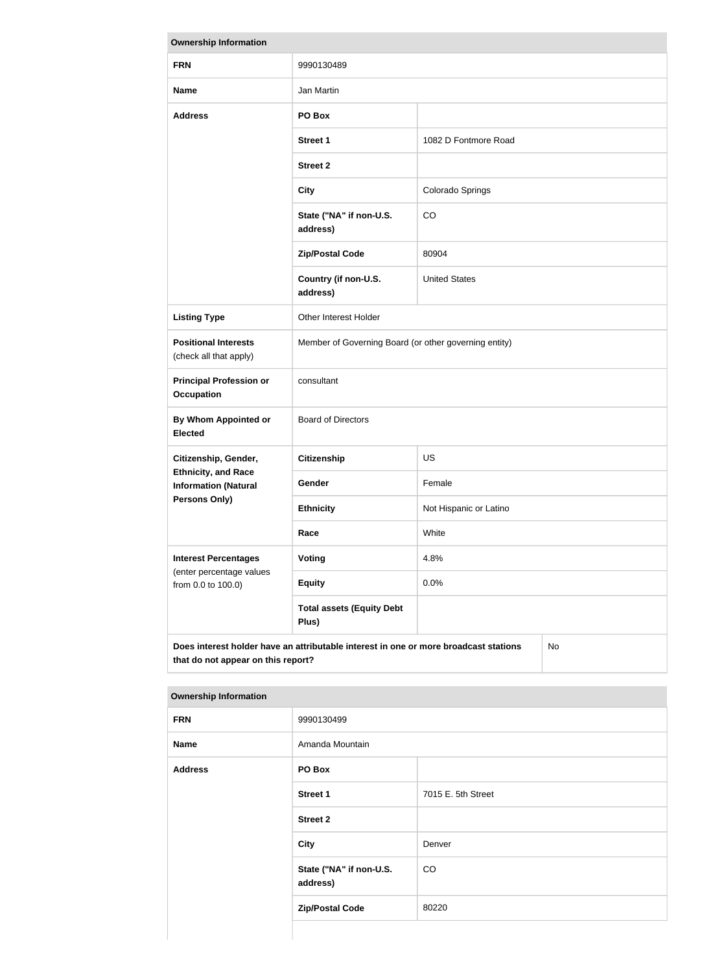| <b>Ownership Information</b>                                                                                                            |                                                       |                        |  |
|-----------------------------------------------------------------------------------------------------------------------------------------|-------------------------------------------------------|------------------------|--|
| <b>FRN</b>                                                                                                                              | 9990130489                                            |                        |  |
| <b>Name</b>                                                                                                                             | Jan Martin                                            |                        |  |
| <b>Address</b>                                                                                                                          | PO Box                                                |                        |  |
|                                                                                                                                         | <b>Street 1</b>                                       | 1082 D Fontmore Road   |  |
|                                                                                                                                         | <b>Street 2</b>                                       |                        |  |
|                                                                                                                                         | <b>City</b>                                           | Colorado Springs       |  |
|                                                                                                                                         | State ("NA" if non-U.S.<br>address)                   | CO                     |  |
|                                                                                                                                         | <b>Zip/Postal Code</b>                                | 80904                  |  |
|                                                                                                                                         | Country (if non-U.S.<br>address)                      | <b>United States</b>   |  |
| <b>Listing Type</b>                                                                                                                     | Other Interest Holder                                 |                        |  |
| <b>Positional Interests</b><br>(check all that apply)                                                                                   | Member of Governing Board (or other governing entity) |                        |  |
| <b>Principal Profession or</b><br><b>Occupation</b>                                                                                     | consultant                                            |                        |  |
| <b>By Whom Appointed or</b><br><b>Elected</b>                                                                                           | <b>Board of Directors</b>                             |                        |  |
| Citizenship, Gender,                                                                                                                    | <b>Citizenship</b>                                    | <b>US</b>              |  |
| <b>Ethnicity, and Race</b><br><b>Information (Natural</b>                                                                               | Gender                                                | Female                 |  |
| Persons Only)                                                                                                                           | <b>Ethnicity</b>                                      | Not Hispanic or Latino |  |
|                                                                                                                                         | Race                                                  | White                  |  |
| <b>Interest Percentages</b>                                                                                                             | <b>Voting</b>                                         | 4.8%                   |  |
| (enter percentage values<br>from 0.0 to 100.0)                                                                                          | <b>Equity</b>                                         | 0.0%                   |  |
|                                                                                                                                         | <b>Total assets (Equity Debt</b><br>Plus)             |                        |  |
| Does interest holder have an attributable interest in one or more broadcast stations<br><b>No</b><br>that do not appear on this report? |                                                       |                        |  |

| <b>Ownership Information</b> |                                     |                    |  |
|------------------------------|-------------------------------------|--------------------|--|
| <b>FRN</b>                   | 9990130499                          |                    |  |
| <b>Name</b>                  | Amanda Mountain                     |                    |  |
| <b>Address</b>               | PO Box                              |                    |  |
|                              | <b>Street 1</b>                     | 7015 E. 5th Street |  |
|                              | <b>Street 2</b>                     |                    |  |
|                              | <b>City</b>                         | Denver             |  |
|                              | State ("NA" if non-U.S.<br>address) | CO                 |  |
|                              | <b>Zip/Postal Code</b>              | 80220              |  |
|                              |                                     |                    |  |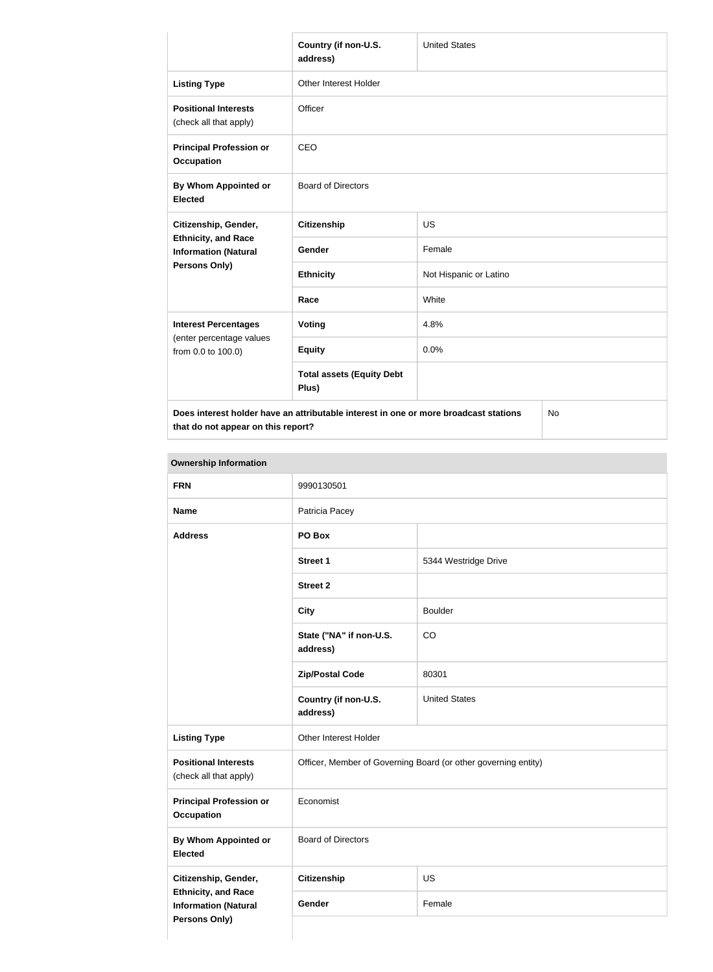|                                                                                            | Country (if non-U.S.<br>address)          | <b>United States</b>   |  |
|--------------------------------------------------------------------------------------------|-------------------------------------------|------------------------|--|
| <b>Listing Type</b>                                                                        | Other Interest Holder                     |                        |  |
| <b>Positional Interests</b><br>(check all that apply)                                      | Officer                                   |                        |  |
| <b>Principal Profession or</b><br><b>Occupation</b>                                        | <b>CEO</b>                                |                        |  |
| By Whom Appointed or<br><b>Elected</b>                                                     | <b>Board of Directors</b>                 |                        |  |
| Citizenship, Gender,<br><b>Ethnicity, and Race</b><br><b>Information (Natural</b>          | <b>Citizenship</b>                        | <b>US</b>              |  |
|                                                                                            | Gender                                    | Female                 |  |
| Persons Only)                                                                              | <b>Ethnicity</b>                          | Not Hispanic or Latino |  |
|                                                                                            | Race                                      | White                  |  |
| <b>Interest Percentages</b><br>(enter percentage values<br>from 0.0 to 100.0)              | <b>Voting</b>                             | 4.8%                   |  |
|                                                                                            | <b>Equity</b>                             | 0.0%                   |  |
|                                                                                            | <b>Total assets (Equity Debt</b><br>Plus) |                        |  |
| Does interest holder have an attributable interest in one or more broadcast stations<br>No |                                           |                        |  |

**Ownership Information FRN** 9990130501 **Name** Patricia Pacey **Address PO Box Street 1** 5344 Westridge Drive **Street 2 City** Boulder **State ("NA" if non-U.S. address)** CO **Zip/Postal Code** 80301 **Country (if non-U.S. address)** United States Listing Type **CE** Other Interest Holder **Positional Interests** (check all that apply) Officer, Member of Governing Board (or other governing entity) **Principal Profession or Occupation** Economist **By Whom Appointed or Elected** Board of Directors **Citizenship, Gender, Ethnicity, and Race Information (Natural Persons Only) Citizenship** US Gender Female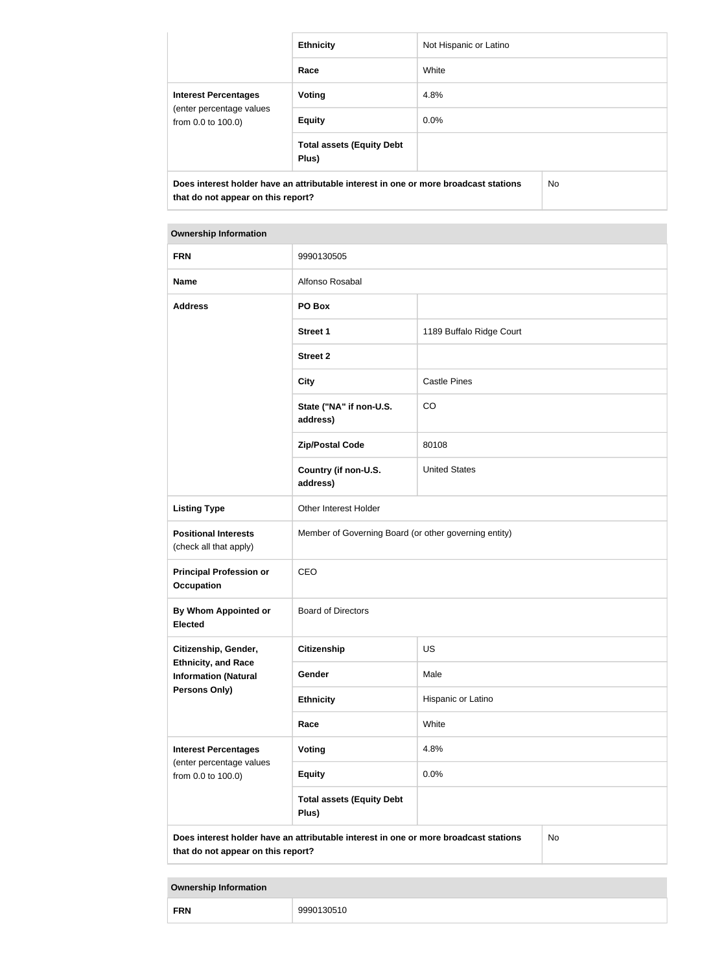|                                                                               | <b>Ethnicity</b>                                                                     | Not Hispanic or Latino |     |
|-------------------------------------------------------------------------------|--------------------------------------------------------------------------------------|------------------------|-----|
|                                                                               |                                                                                      |                        |     |
|                                                                               | Race                                                                                 | White                  |     |
| <b>Interest Percentages</b><br>(enter percentage values<br>from 0.0 to 100.0) | Voting                                                                               | 4.8%                   |     |
|                                                                               | <b>Equity</b>                                                                        | $0.0\%$                |     |
|                                                                               | <b>Total assets (Equity Debt</b><br>Plus)                                            |                        |     |
| that do not appear on this report?                                            | Does interest holder have an attributable interest in one or more broadcast stations |                        | No. |

| <b>FRN</b>                                                                                                | 9990130505                                                                           |                          |           |
|-----------------------------------------------------------------------------------------------------------|--------------------------------------------------------------------------------------|--------------------------|-----------|
| <b>Name</b>                                                                                               | Alfonso Rosabal                                                                      |                          |           |
| <b>Address</b>                                                                                            | PO Box                                                                               |                          |           |
|                                                                                                           | <b>Street 1</b>                                                                      | 1189 Buffalo Ridge Court |           |
|                                                                                                           | <b>Street 2</b>                                                                      |                          |           |
|                                                                                                           | <b>City</b>                                                                          | <b>Castle Pines</b>      |           |
|                                                                                                           | State ("NA" if non-U.S.<br>address)                                                  | CO                       |           |
|                                                                                                           | <b>Zip/Postal Code</b>                                                               | 80108                    |           |
|                                                                                                           | Country (if non-U.S.<br>address)                                                     | <b>United States</b>     |           |
| <b>Listing Type</b>                                                                                       | Other Interest Holder                                                                |                          |           |
| <b>Positional Interests</b><br>(check all that apply)                                                     | Member of Governing Board (or other governing entity)                                |                          |           |
| <b>Principal Profession or</b><br><b>Occupation</b>                                                       | CEO                                                                                  |                          |           |
| By Whom Appointed or<br><b>Elected</b>                                                                    | <b>Board of Directors</b>                                                            |                          |           |
| Citizenship, Gender,<br><b>Ethnicity, and Race</b><br><b>Information (Natural</b><br><b>Persons Only)</b> | <b>Citizenship</b>                                                                   | US                       |           |
|                                                                                                           | Gender                                                                               | Male                     |           |
|                                                                                                           | <b>Ethnicity</b>                                                                     | Hispanic or Latino       |           |
|                                                                                                           | Race                                                                                 | White                    |           |
| <b>Interest Percentages</b><br>(enter percentage values                                                   | Voting                                                                               | 4.8%                     |           |
| from 0.0 to 100.0)                                                                                        | <b>Equity</b>                                                                        | 0.0%                     |           |
|                                                                                                           | <b>Total assets (Equity Debt</b><br>Plus)                                            |                          |           |
| that do not appear on this report?                                                                        | Does interest holder have an attributable interest in one or more broadcast stations |                          | <b>No</b> |

|--|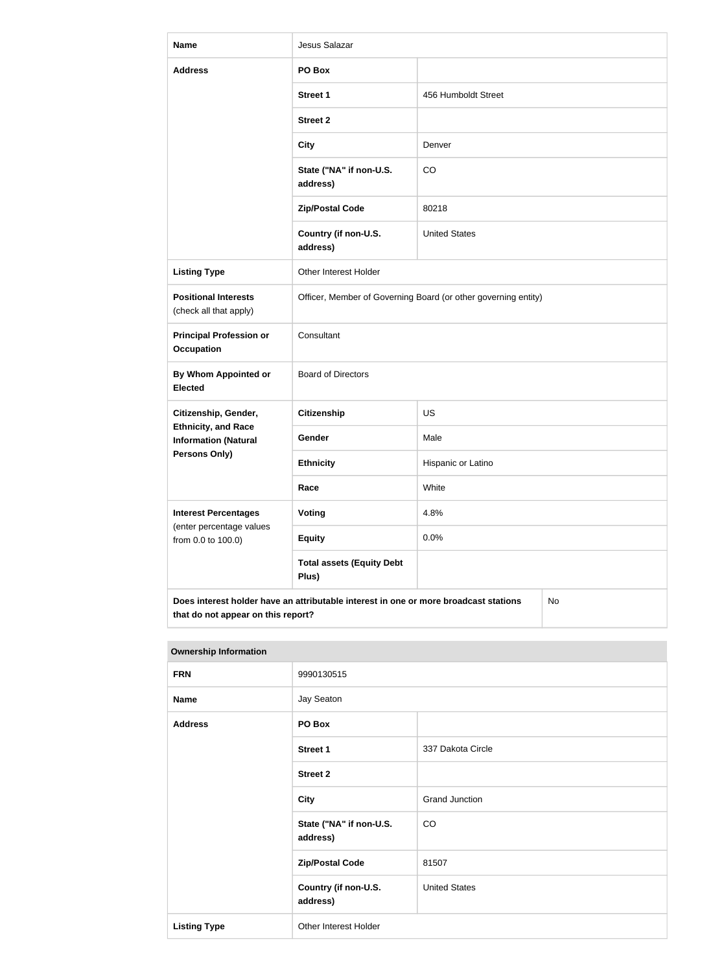| <b>Name</b>                                                                                                                      | Jesus Salazar                             |                                                                |  |  |
|----------------------------------------------------------------------------------------------------------------------------------|-------------------------------------------|----------------------------------------------------------------|--|--|
| <b>Address</b>                                                                                                                   | PO Box                                    |                                                                |  |  |
|                                                                                                                                  | <b>Street 1</b>                           | 456 Humboldt Street                                            |  |  |
|                                                                                                                                  | <b>Street 2</b>                           |                                                                |  |  |
|                                                                                                                                  | <b>City</b>                               | Denver                                                         |  |  |
|                                                                                                                                  | State ("NA" if non-U.S.<br>address)       | CO                                                             |  |  |
|                                                                                                                                  | <b>Zip/Postal Code</b>                    | 80218                                                          |  |  |
|                                                                                                                                  | Country (if non-U.S.<br>address)          | <b>United States</b>                                           |  |  |
| <b>Listing Type</b>                                                                                                              | Other Interest Holder                     |                                                                |  |  |
| <b>Positional Interests</b><br>(check all that apply)                                                                            |                                           | Officer, Member of Governing Board (or other governing entity) |  |  |
| <b>Principal Profession or</b><br><b>Occupation</b>                                                                              | Consultant                                |                                                                |  |  |
| <b>By Whom Appointed or</b><br><b>Elected</b>                                                                                    | <b>Board of Directors</b>                 |                                                                |  |  |
| Citizenship, Gender,                                                                                                             | <b>Citizenship</b>                        | US                                                             |  |  |
| <b>Ethnicity, and Race</b><br><b>Information (Natural</b><br><b>Persons Only)</b>                                                | Gender                                    | Male                                                           |  |  |
|                                                                                                                                  | <b>Ethnicity</b>                          | Hispanic or Latino                                             |  |  |
|                                                                                                                                  | Race                                      | White                                                          |  |  |
| <b>Interest Percentages</b><br>(enter percentage values                                                                          | <b>Voting</b>                             | 4.8%                                                           |  |  |
| from 0.0 to 100.0)                                                                                                               | <b>Equity</b>                             | 0.0%                                                           |  |  |
|                                                                                                                                  | <b>Total assets (Equity Debt</b><br>Plus) |                                                                |  |  |
| Does interest holder have an attributable interest in one or more broadcast stations<br>No<br>that do not appear on this report? |                                           |                                                                |  |  |

| <b>Ownership Information</b> |                                     |                       |
|------------------------------|-------------------------------------|-----------------------|
| <b>FRN</b>                   | 9990130515                          |                       |
| <b>Name</b>                  | Jay Seaton                          |                       |
| <b>Address</b>               | PO Box                              |                       |
|                              | <b>Street 1</b>                     | 337 Dakota Circle     |
|                              | <b>Street 2</b>                     |                       |
|                              | <b>City</b>                         | <b>Grand Junction</b> |
|                              | State ("NA" if non-U.S.<br>address) | CO                    |
|                              | <b>Zip/Postal Code</b>              | 81507                 |
|                              | Country (if non-U.S.<br>address)    | <b>United States</b>  |
| <b>Listing Type</b>          | Other Interest Holder               |                       |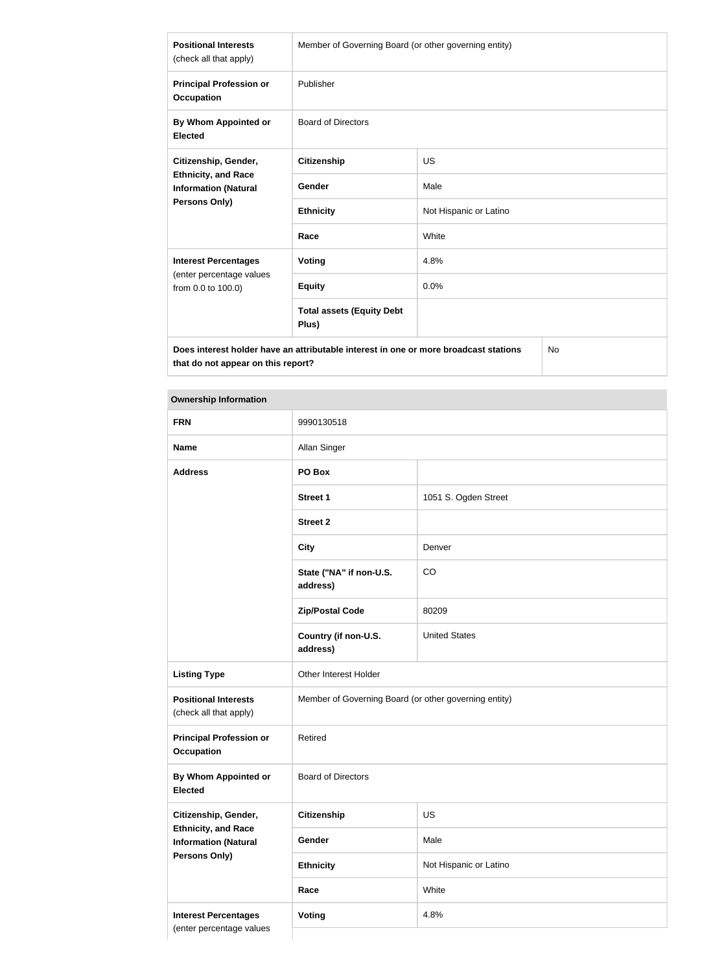| <b>Positional Interests</b><br>(check all that apply)                                              | Member of Governing Board (or other governing entity) |                        |  |
|----------------------------------------------------------------------------------------------------|-------------------------------------------------------|------------------------|--|
| <b>Principal Profession or</b><br><b>Occupation</b>                                                | Publisher                                             |                        |  |
| By Whom Appointed or<br><b>Elected</b>                                                             | <b>Board of Directors</b>                             |                        |  |
| Citizenship, Gender,<br><b>Ethnicity, and Race</b><br><b>Information (Natural</b><br>Persons Only) | <b>Citizenship</b>                                    | <b>US</b>              |  |
|                                                                                                    | Gender                                                | Male                   |  |
|                                                                                                    | <b>Ethnicity</b>                                      | Not Hispanic or Latino |  |
|                                                                                                    | Race                                                  | White                  |  |
| <b>Interest Percentages</b><br>(enter percentage values<br>from 0.0 to 100.0)                      | <b>Voting</b>                                         | 4.8%                   |  |
|                                                                                                    | <b>Equity</b>                                         | 0.0%                   |  |
|                                                                                                    | <b>Total assets (Equity Debt</b><br>Plus)             |                        |  |
| Does interest holder have an attributable interest in one or more broadcast stations<br>No.        |                                                       |                        |  |

**Does interest holder have an attributable interest in one or more broadcast stations that do not appear on this report?**

| <b>FRN</b>                                                                                                | 9990130518                                            |                        |
|-----------------------------------------------------------------------------------------------------------|-------------------------------------------------------|------------------------|
| <b>Name</b>                                                                                               | Allan Singer                                          |                        |
| <b>Address</b>                                                                                            | PO Box                                                |                        |
|                                                                                                           | Street 1                                              | 1051 S. Ogden Street   |
|                                                                                                           | <b>Street 2</b>                                       |                        |
|                                                                                                           | <b>City</b>                                           | Denver                 |
|                                                                                                           | State ("NA" if non-U.S.<br>address)                   | CO                     |
|                                                                                                           | <b>Zip/Postal Code</b>                                | 80209                  |
|                                                                                                           | Country (if non-U.S.<br>address)                      | <b>United States</b>   |
| <b>Listing Type</b>                                                                                       | Other Interest Holder                                 |                        |
| <b>Positional Interests</b><br>(check all that apply)                                                     | Member of Governing Board (or other governing entity) |                        |
| <b>Principal Profession or</b><br><b>Occupation</b>                                                       | Retired                                               |                        |
| By Whom Appointed or<br><b>Elected</b>                                                                    | <b>Board of Directors</b>                             |                        |
| Citizenship, Gender,<br><b>Ethnicity, and Race</b><br><b>Information (Natural</b><br><b>Persons Only)</b> | <b>Citizenship</b>                                    | US                     |
|                                                                                                           | Gender                                                | Male                   |
|                                                                                                           | <b>Ethnicity</b>                                      | Not Hispanic or Latino |
|                                                                                                           | Race                                                  | White                  |
| <b>Interest Percentages</b>                                                                               | Voting                                                | 4.8%                   |
| (enter percentage values                                                                                  |                                                       |                        |